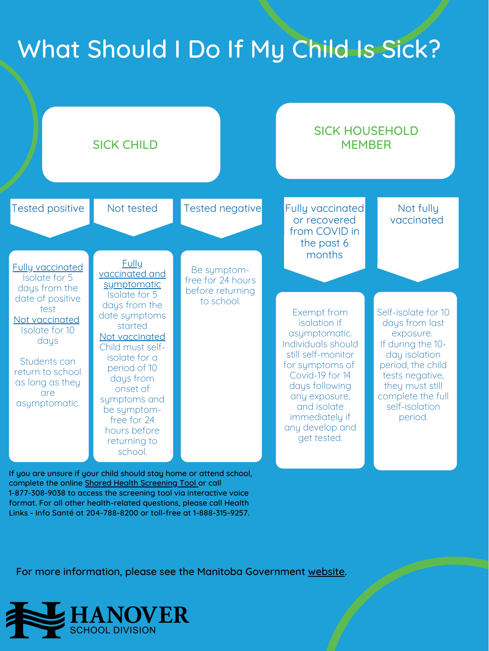## What Should I Do If My Child Is Sick?



If you are unsure if your child should stay home or attend school, complete the online Shared Health [Screening](https://sharedhealthmb.ca/covid19/screening-tool/) Tool or call 1-877-308-9038 to access the screening tool via interactive voice format. For all other health-related questions, please call Health Links - Info Santé at 204-788-8200 or toll-free at 1-888-315-9257.

For more information, please see the Manitoba Government [website.](https://manitoba.ca/covid19/fundamentals/self-isolation.html#how-to-isolate)